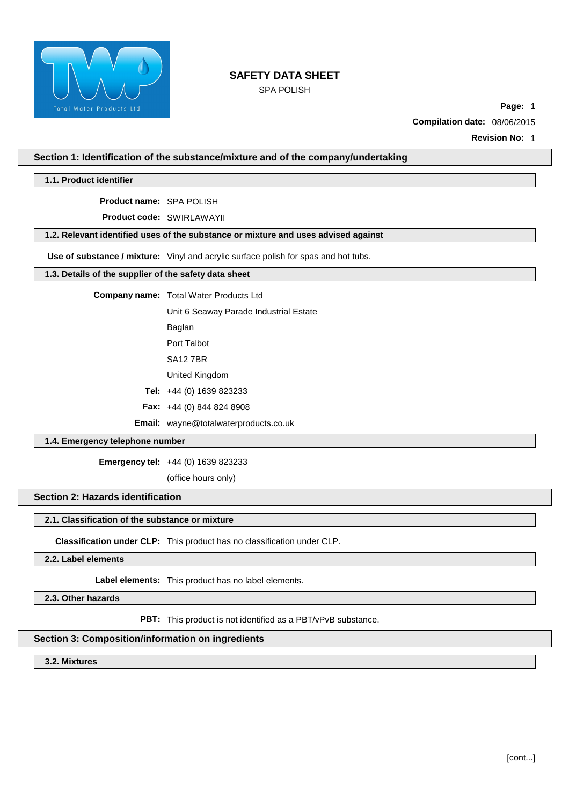

SPA POLISH

**Page:** 1

**Compilation date:** 08/06/2015

**Revision No:** 1

**Section 1: Identification of the substance/mixture and of the company/undertaking**

**1.1. Product identifier**

**Product name:** SPA POLISH

**Product code:** SWIRLAWAYII

**1.2. Relevant identified uses of the substance or mixture and uses advised against**

**Use of substance / mixture:** Vinyl and acrylic surface polish for spas and hot tubs.

# **1.3. Details of the supplier of the safety data sheet**

**Company name:** Total Water Products Ltd

Unit 6 Seaway Parade Industrial Estate

Baglan

Port Talbot

SA12 7BR

United Kingdom

**Tel:** +44 (0) 1639 823233

**Fax:** +44 (0) 844 824 8908

**Email:** [wayne@totalwaterproducts.co.uk](mailto:wayne@totalwaterproducts.co.uk)

### **1.4. Emergency telephone number**

**Emergency tel:** +44 (0) 1639 823233

(office hours only)

# **Section 2: Hazards identification**

## **2.1. Classification of the substance or mixture**

**Classification under CLP:** This product has no classification under CLP.

# **2.2. Label elements**

**Label elements:** This product has no label elements.

**2.3. Other hazards**

**PBT:** This product is not identified as a PBT/vPvB substance.

## **Section 3: Composition/information on ingredients**

### **3.2. Mixtures**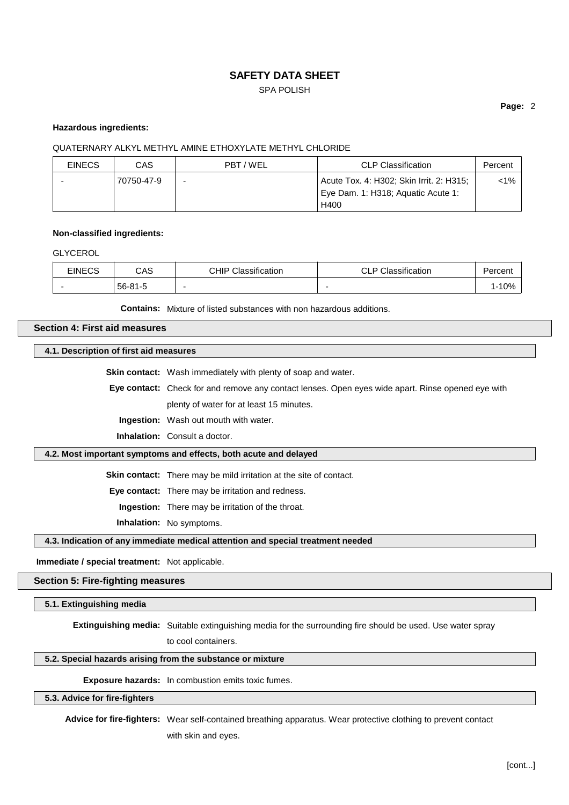# SPA POLISH

### **Page:** 2

### **Hazardous ingredients:**

### QUATERNARY ALKYL METHYL AMINE ETHOXYLATE METHYL CHLORIDE

| <b>EINECS</b> | CAS        | PBT/WEL | <b>CLP Classification</b>                                                              | Percent  |
|---------------|------------|---------|----------------------------------------------------------------------------------------|----------|
|               | 70750-47-9 |         | Acute Tox. 4: H302; Skin Irrit. 2: H315;<br>Eye Dam. 1: H318; Aquatic Acute 1:<br>H400 | ${<}1\%$ |

#### **Non-classified ingredients:**

GLYCEROL

| <b>EINECS</b>            | CAS           | <b>CHIP Classification</b> | <b>CLP Classification</b> | Percent |
|--------------------------|---------------|----------------------------|---------------------------|---------|
| $\overline{\phantom{0}}$ | $56 - 81 - 5$ |                            |                           | 1-10%   |

**Contains:** Mixture of listed substances with non hazardous additions.

### **Section 4: First aid measures**

**4.1. Description of first aid measures**

**Skin contact:** Wash immediately with plenty of soap and water.

**Eye contact:** Check for and remove any contact lenses. Open eyes wide apart. Rinse opened eye with plenty of water for at least 15 minutes.

**Ingestion:** Wash out mouth with water.

**Inhalation:** Consult a doctor.

### **4.2. Most important symptoms and effects, both acute and delayed**

**Skin contact:** There may be mild irritation at the site of contact.

**Eye contact:** There may be irritation and redness.

**Ingestion:** There may be irritation of the throat.

**Inhalation:** No symptoms.

**4.3. Indication of any immediate medical attention and special treatment needed**

**Immediate / special treatment:** Not applicable.

## **Section 5: Fire-fighting measures**

**5.1. Extinguishing media**

**Extinguishing media:** Suitable extinguishing media for the surrounding fire should be used. Use water spray

to cool containers.

### **5.2. Special hazards arising from the substance or mixture**

**Exposure hazards:** In combustion emits toxic fumes.

#### **5.3. Advice for fire-fighters**

**Advice for fire-fighters:** Wear self-contained breathing apparatus. Wear protective clothing to prevent contact with skin and eyes.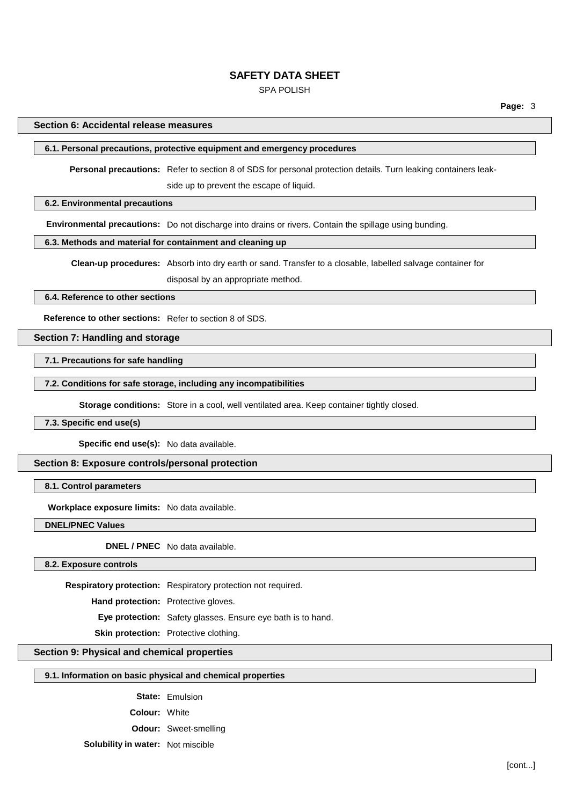### SPA POLISH

### **Section 6: Accidental release measures**

# **6.1. Personal precautions, protective equipment and emergency procedures**

**Personal precautions:** Refer to section 8 of SDS for personal protection details. Turn leaking containers leak-

side up to prevent the escape of liquid.

## **6.2. Environmental precautions**

**Environmental precautions:** Do not discharge into drains or rivers. Contain the spillage using bunding.

# **6.3. Methods and material for containment and cleaning up**

**Clean-up procedures:** Absorb into dry earth or sand. Transfer to a closable, labelled salvage container for disposal by an appropriate method.

## **6.4. Reference to other sections**

**Reference to other sections:** Refer to section 8 of SDS.

### **Section 7: Handling and storage**

**7.1. Precautions for safe handling**

**7.2. Conditions for safe storage, including any incompatibilities**

**Storage conditions:** Store in a cool, well ventilated area. Keep container tightly closed.

# **7.3. Specific end use(s)**

**Specific end use(s):** No data available.

#### **Section 8: Exposure controls/personal protection**

**8.1. Control parameters**

**Workplace exposure limits:** No data available.

**DNEL/PNEC Values**

**DNEL / PNEC** No data available.

**8.2. Exposure controls**

**Respiratory protection:** Respiratory protection not required.

**Hand protection:** Protective gloves.

**Eye protection:** Safety glasses. Ensure eye bath is to hand.

**Skin protection:** Protective clothing.

# **Section 9: Physical and chemical properties**

## **9.1. Information on basic physical and chemical properties**

**State:** Emulsion

**Colour:** White

**Odour:** Sweet-smelling

**Solubility in water:** Not miscible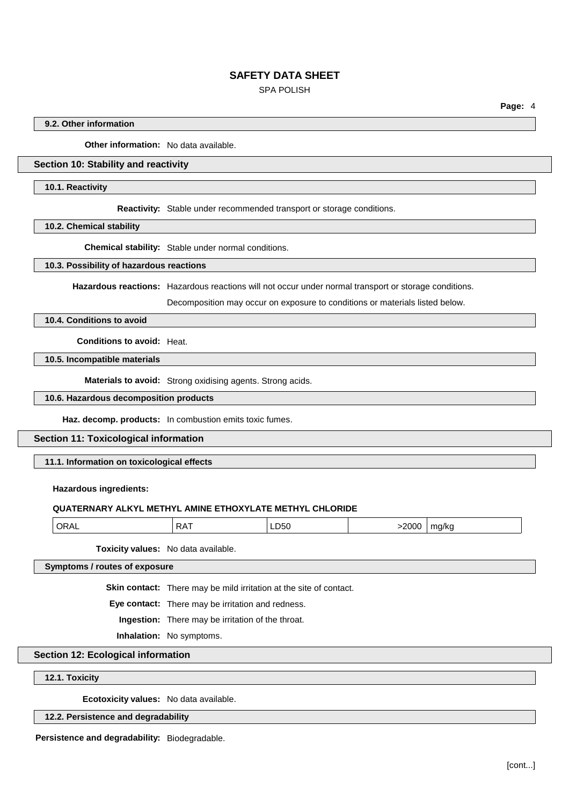# SPA POLISH

**Page:** 4

## **9.2. Other information**

**Other information:** No data available.

# **Section 10: Stability and reactivity**

#### **10.1. Reactivity**

**Reactivity:** Stable under recommended transport or storage conditions.

**10.2. Chemical stability**

**Chemical stability:** Stable under normal conditions.

#### **10.3. Possibility of hazardous reactions**

**Hazardous reactions:** Hazardous reactions will not occur under normal transport or storage conditions.

Decomposition may occur on exposure to conditions or materials listed below.

# **10.4. Conditions to avoid**

**Conditions to avoid:** Heat.

### **10.5. Incompatible materials**

**Materials to avoid:** Strong oxidising agents. Strong acids.

### **10.6. Hazardous decomposition products**

**Haz. decomp. products:** In combustion emits toxic fumes.

#### **Section 11: Toxicological information**

**11.1. Information on toxicological effects**

### **Hazardous ingredients:**

## **QUATERNARY ALKYL METHYL AMINE ETHOXYLATE METHYL CHLORIDE**

| $\cap$ $\cap$ $\cap$<br><b>OL</b><br>ا/ یہ جب<br>. .<br>ΩΛ<br>LD50<br>.<br>$\mathbf{v}$ |
|-----------------------------------------------------------------------------------------|
|-----------------------------------------------------------------------------------------|

**Toxicity values:** No data available.

#### **Symptoms / routes of exposure**

**Skin contact:** There may be mild irritation at the site of contact.

**Eye contact:** There may be irritation and redness.

**Ingestion:** There may be irritation of the throat.

**Inhalation:** No symptoms.

### **Section 12: Ecological information**

#### **12.1. Toxicity**

**Ecotoxicity values:** No data available.

#### **12.2. Persistence and degradability**

**Persistence and degradability:** Biodegradable.